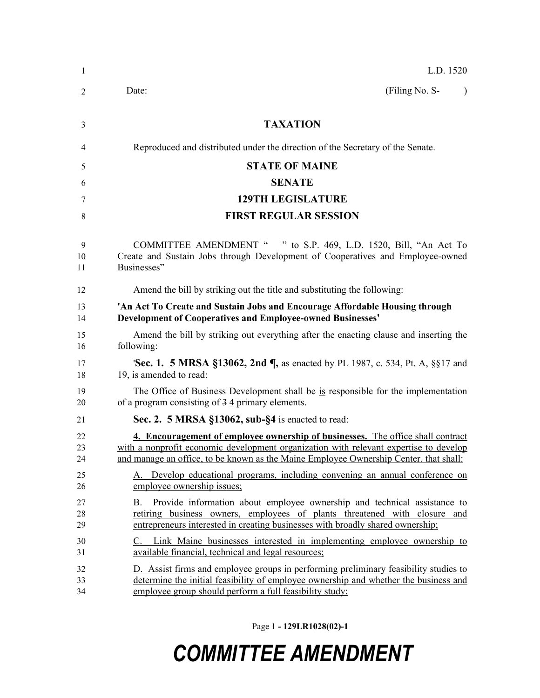| 1              | L.D. 1520                                                                                                                                                                                                                                                         |  |
|----------------|-------------------------------------------------------------------------------------------------------------------------------------------------------------------------------------------------------------------------------------------------------------------|--|
| 2              | (Filing No. S-<br>Date:<br>$\lambda$                                                                                                                                                                                                                              |  |
| 3              | <b>TAXATION</b>                                                                                                                                                                                                                                                   |  |
| 4              | Reproduced and distributed under the direction of the Secretary of the Senate.                                                                                                                                                                                    |  |
| 5              | <b>STATE OF MAINE</b>                                                                                                                                                                                                                                             |  |
| 6              | <b>SENATE</b>                                                                                                                                                                                                                                                     |  |
| 7              | <b>129TH LEGISLATURE</b>                                                                                                                                                                                                                                          |  |
| 8              | <b>FIRST REGULAR SESSION</b>                                                                                                                                                                                                                                      |  |
| 9<br>10<br>11  | COMMITTEE AMENDMENT " " to S.P. 469, L.D. 1520, Bill, "An Act To<br>Create and Sustain Jobs through Development of Cooperatives and Employee-owned<br>Businesses"                                                                                                 |  |
| 12             | Amend the bill by striking out the title and substituting the following:                                                                                                                                                                                          |  |
| 13<br>14       | 'An Act To Create and Sustain Jobs and Encourage Affordable Housing through<br><b>Development of Cooperatives and Employee-owned Businesses'</b>                                                                                                                  |  |
| 15<br>16       | Amend the bill by striking out everything after the enacting clause and inserting the<br>following:                                                                                                                                                               |  |
| 17<br>18       | <b>'Sec. 1. 5 MRSA §13062, 2nd ¶, as enacted by PL 1987, c. 534, Pt. A, §§17 and</b><br>19, is amended to read:                                                                                                                                                   |  |
| 19<br>20       | The Office of Business Development shall be is responsible for the implementation<br>of a program consisting of $3\overline{4}$ primary elements.                                                                                                                 |  |
| 21             | Sec. 2. 5 MRSA §13062, sub-§4 is enacted to read:                                                                                                                                                                                                                 |  |
| 22<br>23<br>24 | 4. Encouragement of employee ownership of businesses. The office shall contract<br>with a nonprofit economic development organization with relevant expertise to develop<br>and manage an office, to be known as the Maine Employee Ownership Center, that shall: |  |
| 25<br>26       | A. Develop educational programs, including convening an annual conference on<br>employee ownership issues;                                                                                                                                                        |  |
| 27<br>28<br>29 | Provide information about employee ownership and technical assistance to<br>В.<br>retiring business owners, employees of plants threatened with closure and<br>entrepreneurs interested in creating businesses with broadly shared ownership;                     |  |
| 30<br>31       | C. Link Maine businesses interested in implementing employee ownership to<br>available financial, technical and legal resources;                                                                                                                                  |  |
| 32<br>33<br>34 | D. Assist firms and employee groups in performing preliminary feasibility studies to<br>determine the initial feasibility of employee ownership and whether the business and<br>employee group should perform a full feasibility study;                           |  |

Page 1 **- 129LR1028(02)-1**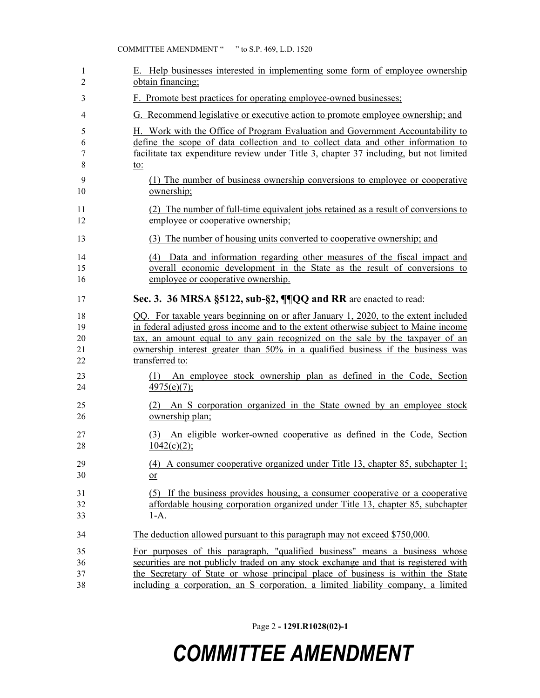| 1  | E. Help businesses interested in implementing some form of employee ownership          |
|----|----------------------------------------------------------------------------------------|
| 2  | obtain financing;                                                                      |
| 3  | F. Promote best practices for operating employee-owned businesses;                     |
| 4  | G. Recommend legislative or executive action to promote employee ownership; and        |
| 5  | H. Work with the Office of Program Evaluation and Government Accountability to         |
| 6  | define the scope of data collection and to collect data and other information to       |
| 7  | facilitate tax expenditure review under Title 3, chapter 37 including, but not limited |
| 8  | <u>to:</u>                                                                             |
| 9  | (1) The number of business ownership conversions to employee or cooperative            |
| 10 | ownership;                                                                             |
| 11 | (2) The number of full-time equivalent jobs retained as a result of conversions to     |
| 12 | employee or cooperative ownership;                                                     |
| 13 | (3) The number of housing units converted to cooperative ownership; and                |
| 14 | (4) Data and information regarding other measures of the fiscal impact and             |
| 15 | overall economic development in the State as the result of conversions to              |
| 16 | employee or cooperative ownership.                                                     |
| 17 | Sec. 3. 36 MRSA §5122, sub-§2, ¶¶QQ and RR are enacted to read:                        |
| 18 | QQ. For taxable years beginning on or after January 1, 2020, to the extent included    |
| 19 | in federal adjusted gross income and to the extent otherwise subject to Maine income   |
| 20 | tax, an amount equal to any gain recognized on the sale by the taxpayer of an          |
| 21 | ownership interest greater than 50% in a qualified business if the business was        |
| 22 | transferred to:                                                                        |
| 23 | (1) An employee stock ownership plan as defined in the Code, Section                   |
| 24 | $\frac{4975(e)(7)}{2}$                                                                 |
| 25 | (2) An S corporation organized in the State owned by an employee stock                 |
| 26 | ownership plan;                                                                        |
| 27 | (3) An eligible worker-owned cooperative as defined in the Code, Section               |
| 28 | 1042(c)(2);                                                                            |
| 29 | (4) A consumer cooperative organized under Title 13, chapter 85, subchapter 1;         |
| 30 | or                                                                                     |
| 31 | (5) If the business provides housing, a consumer cooperative or a cooperative          |
| 32 | affordable housing corporation organized under Title 13, chapter 85, subchapter        |
| 33 | $1-A.$                                                                                 |
| 34 | The deduction allowed pursuant to this paragraph may not exceed \$750,000.             |
| 35 | For purposes of this paragraph, "qualified business" means a business whose            |
| 36 | securities are not publicly traded on any stock exchange and that is registered with   |
| 37 | the Secretary of State or whose principal place of business is within the State        |
| 38 | including a corporation, an S corporation, a limited liability company, a limited      |

Page 2 **- 129LR1028(02)-1**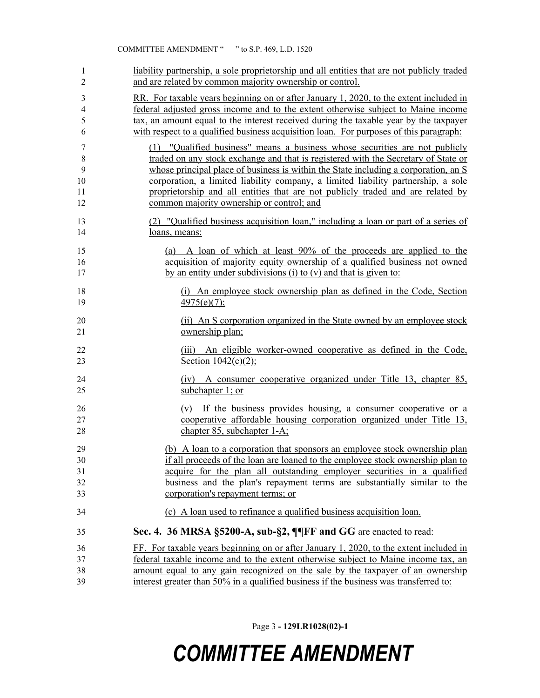| 1              | liability partnership, a sole proprietorship and all entities that are not publicly traded      |
|----------------|-------------------------------------------------------------------------------------------------|
| 2              | and are related by common majority ownership or control.                                        |
| 3              | RR. For taxable years beginning on or after January 1, 2020, to the extent included in          |
| $\overline{4}$ | federal adjusted gross income and to the extent otherwise subject to Maine income               |
| 5              | tax, an amount equal to the interest received during the taxable year by the taxpayer           |
| 6              | with respect to a qualified business acquisition loan. For purposes of this paragraph:          |
| $\tau$         | (1) "Qualified business" means a business whose securities are not publicly                     |
| $8\,$          | traded on any stock exchange and that is registered with the Secretary of State or              |
| 9              | whose principal place of business is within the State including a corporation, an S             |
| 10             | corporation, a limited liability company, a limited liability partnership, a sole               |
| 11             | proprietorship and all entities that are not publicly traded and are related by                 |
| 12             | common majority ownership or control; and                                                       |
| 13             | (2) "Qualified business acquisition loan," including a loan or part of a series of              |
| 14             | loans, means:                                                                                   |
| 15             | (a) A loan of which at least 90% of the proceeds are applied to the                             |
| 16             | acquisition of majority equity ownership of a qualified business not owned                      |
| 17             | by an entity under subdivisions (i) to $(v)$ and that is given to:                              |
| 18             | (i) An employee stock ownership plan as defined in the Code, Section                            |
| 19             | $\frac{4975(e)(7)}{2}$                                                                          |
| 20             | (ii) An S corporation organized in the State owned by an employee stock                         |
| 21             | ownership plan;                                                                                 |
| 22<br>23       | An eligible worker-owned cooperative as defined in the Code,<br>(111)<br>Section $1042(c)(2)$ ; |
| 24             | (iv) A consumer cooperative organized under Title 13, chapter 85,                               |
| 25             | subchapter 1; or                                                                                |
| 26             | (v) If the business provides housing, a consumer cooperative or a                               |
| 27             | cooperative affordable housing corporation organized under Title 13,                            |
| 28             | chapter 85, subchapter 1-A;                                                                     |
| 29             | (b) A loan to a corporation that sponsors an employee stock ownership plan                      |
| 30             | if all proceeds of the loan are loaned to the employee stock ownership plan to                  |
| 31             | acquire for the plan all outstanding employer securities in a qualified                         |
| 32             | business and the plan's repayment terms are substantially similar to the                        |
| 33             | corporation's repayment terms; or                                                               |
| 34             | (c) A loan used to refinance a qualified business acquisition loan.                             |
| 35             | Sec. 4. 36 MRSA §5200-A, sub-§2, ¶¶FF and GG are enacted to read:                               |
| 36             | FF. For taxable years beginning on or after January 1, 2020, to the extent included in          |
| 37             | federal taxable income and to the extent otherwise subject to Maine income tax, an              |
| 38             | amount equal to any gain recognized on the sale by the taxpayer of an ownership                 |
| 39             | interest greater than 50% in a qualified business if the business was transferred to:           |

Page 3 **- 129LR1028(02)-1**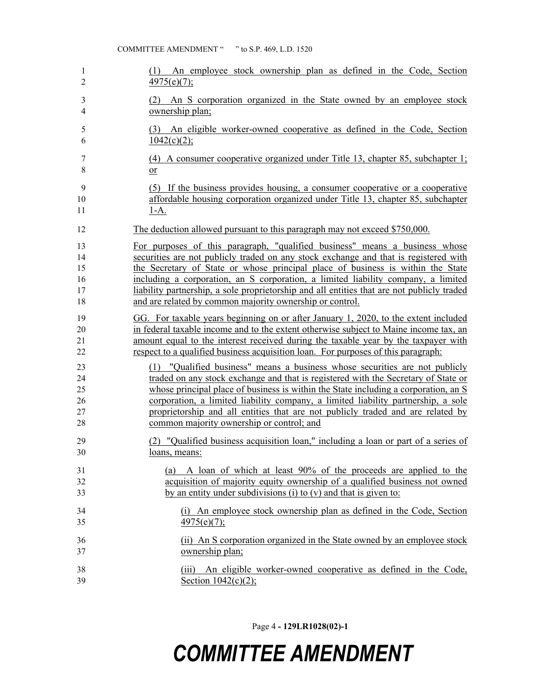| 1              | (1) An employee stock ownership plan as defined in the Code, Section                          |
|----------------|-----------------------------------------------------------------------------------------------|
| $\overline{2}$ | $4975(e)(7)$ ;                                                                                |
| 3              | (2) An S corporation organized in the State owned by an employee stock                        |
| 4              | ownership plan;                                                                               |
| 5<br>6         | An eligible worker-owned cooperative as defined in the Code, Section<br>(3)<br>$1042(c)(2)$ ; |
| 7              | (4) A consumer cooperative organized under Title 13, chapter 85, subchapter 1;                |
| 8              | $\overline{or}$                                                                               |
| 9              | (5) If the business provides housing, a consumer cooperative or a cooperative                 |
| 10             | affordable housing corporation organized under Title 13, chapter 85, subchapter               |
| 11             | <u>1-A.</u>                                                                                   |
| 12             | The deduction allowed pursuant to this paragraph may not exceed \$750,000.                    |
| 13             | For purposes of this paragraph, "qualified business" means a business whose                   |
| 14             | securities are not publicly traded on any stock exchange and that is registered with          |
| 15             | the Secretary of State or whose principal place of business is within the State               |
| 16             | including a corporation, an S corporation, a limited liability company, a limited             |
| 17             | liability partnership, a sole proprietorship and all entities that are not publicly traded    |
| 18             | and are related by common majority ownership or control.                                      |
| 19             | GG. For taxable years beginning on or after January 1, 2020, to the extent included           |
| 20             | in federal taxable income and to the extent otherwise subject to Maine income tax, an         |
| 21             | amount equal to the interest received during the taxable year by the taxpayer with            |
| 22             | respect to a qualified business acquisition loan. For purposes of this paragraph:             |
| 23             | (1) "Qualified business" means a business whose securities are not publicly                   |
| 24             | traded on any stock exchange and that is registered with the Secretary of State or            |
| 25             | whose principal place of business is within the State including a corporation, an $S$         |
| 26             | corporation, a limited liability company, a limited liability partnership, a sole             |
| 27             | proprietorship and all entities that are not publicly traded and are related by               |
| 28             | common majority ownership or control; and                                                     |
| 29             | "Qualified business acquisition loan," including a loan or part of a series of                |
| 30             | loans, means:                                                                                 |
| 31             | (a) A loan of which at least 90% of the proceeds are applied to the                           |
| 32             | acquisition of majority equity ownership of a qualified business not owned                    |
| 33             | by an entity under subdivisions (i) to $(v)$ and that is given to:                            |
| 34             | (i) An employee stock ownership plan as defined in the Code, Section                          |
| 35             | 4975(e)(7);                                                                                   |
| 36             | (ii) An S corporation organized in the State owned by an employee stock                       |
| 37             | ownership plan;                                                                               |
| 38             | (iii) An eligible worker-owned cooperative as defined in the Code,                            |
| 39             | Section $1042(c)(2)$ ;                                                                        |

Page 4 **- 129LR1028(02)-1**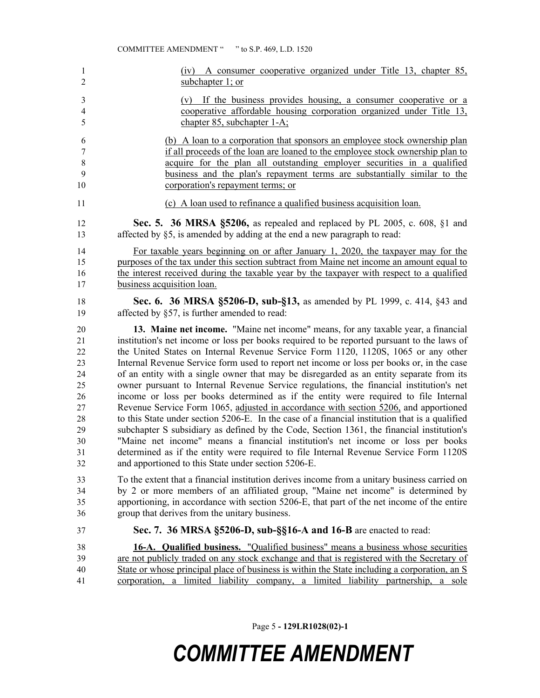| 1                       | (iv) A consumer cooperative organized under Title 13, chapter 85,                              |
|-------------------------|------------------------------------------------------------------------------------------------|
| $\overline{2}$          | subchapter 1; or                                                                               |
| $\mathfrak{Z}$          | (v) If the business provides housing, a consumer cooperative or a                              |
| $\overline{\mathbf{4}}$ | cooperative affordable housing corporation organized under Title 13,                           |
| 5                       | chapter 85, subchapter 1-A;                                                                    |
| 6                       | (b) A loan to a corporation that sponsors an employee stock ownership plan                     |
| $\boldsymbol{7}$        | if all proceeds of the loan are loaned to the employee stock ownership plan to                 |
| $8\,$                   | acquire for the plan all outstanding employer securities in a qualified                        |
| 9                       | business and the plan's repayment terms are substantially similar to the                       |
| 10                      | corporation's repayment terms; or                                                              |
| 11                      | (c) A loan used to refinance a qualified business acquisition loan.                            |
| 12                      | Sec. 5. 36 MRSA §5206, as repealed and replaced by PL 2005, c. 608, §1 and                     |
| 13                      | affected by §5, is amended by adding at the end a new paragraph to read:                       |
| 14                      | For taxable years beginning on or after January 1, 2020, the taxpayer may for the              |
| 15                      | purposes of the tax under this section subtract from Maine net income an amount equal to       |
| 16                      | the interest received during the taxable year by the taxpayer with respect to a qualified      |
| 17                      | business acquisition loan.                                                                     |
| 18                      | Sec. 6. 36 MRSA §5206-D, sub-§13, as amended by PL 1999, c. 414, §43 and                       |
| 19                      | affected by §57, is further amended to read:                                                   |
| 20                      | 13. Maine net income. "Maine net income" means, for any taxable year, a financial              |
| 21                      | institution's net income or loss per books required to be reported pursuant to the laws of     |
| 22                      | the United States on Internal Revenue Service Form 1120, 1120S, 1065 or any other              |
| 23                      | Internal Revenue Service form used to report net income or loss per books or, in the case      |
| 24                      | of an entity with a single owner that may be disregarded as an entity separate from its        |
| 25                      | owner pursuant to Internal Revenue Service regulations, the financial institution's net        |
| 26                      | income or loss per books determined as if the entity were required to file Internal            |
| 27                      | Revenue Service Form 1065, adjusted in accordance with section 5206, and apportioned           |
| 28                      | to this State under section 5206-E. In the case of a financial institution that is a qualified |
| 29                      | subchapter S subsidiary as defined by the Code, Section 1361, the financial institution's      |
| 30                      | "Maine net income" means a financial institution's net income or loss per books                |
| 31                      | determined as if the entity were required to file Internal Revenue Service Form 1120S          |
| 32                      | and apportioned to this State under section 5206-E.                                            |
| 33                      | To the extent that a financial institution derives income from a unitary business carried on   |
| 34                      | by 2 or more members of an affiliated group, "Maine net income" is determined by               |
| 35                      | apportioning, in accordance with section 5206-E, that part of the net income of the entire     |
| 36                      | group that derives from the unitary business.                                                  |
| 37                      | Sec. 7. 36 MRSA §5206-D, sub-§§16-A and 16-B are enacted to read:                              |
| 38                      | <b>16-A. Qualified business.</b> "Qualified business" means a business whose securities        |
| 39                      | are not publicly traded on any stock exchange and that is registered with the Secretary of     |
| 40                      | State or whose principal place of business is within the State including a corporation, an S   |
| 41                      | corporation, a limited liability company, a limited liability partnership, a sole              |

Page 5 **- 129LR1028(02)-1**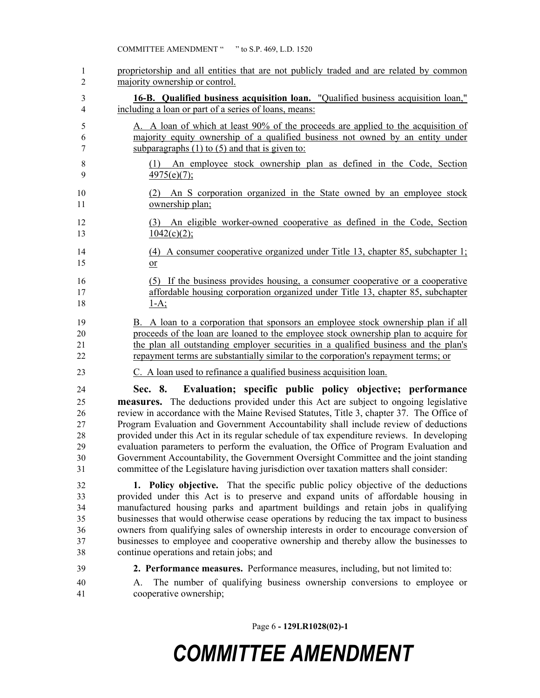proprietorship and all entities that are not publicly traded and are related by common majority ownership or control. **16-B. Qualified business acquisition loan.** "Qualified business acquisition loan," including a loan or part of a series of loans, means: A. A loan of which at least 90% of the proceeds are applied to the acquisition of majority equity ownership of a qualified business not owned by an entity under subparagraphs (1) to (5) and that is given to: (1) An employee stock ownership plan as defined in the Code, Section  $4975(e)(7)$ ; (2) An S corporation organized in the State owned by an employee stock ownership plan; (3) An eligible worker-owned cooperative as defined in the Code, Section  $1042(c)(2)$ ; (4) A consumer cooperative organized under Title 13, chapter 85, subchapter 1; or (5) If the business provides housing, a consumer cooperative or a cooperative affordable housing corporation organized under Title 13, chapter 85, subchapter  $18 \t 1-A;$  B. A loan to a corporation that sponsors an employee stock ownership plan if all proceeds of the loan are loaned to the employee stock ownership plan to acquire for the plan all outstanding employer securities in a qualified business and the plan's repayment terms are substantially similar to the corporation's repayment terms; or C. A loan used to refinance a qualified business acquisition loan. **Sec. 8. Evaluation; specific public policy objective; performance measures.** The deductions provided under this Act are subject to ongoing legislative review in accordance with the Maine Revised Statutes, Title 3, chapter 37. The Office of Program Evaluation and Government Accountability shall include review of deductions provided under this Act in its regular schedule of tax expenditure reviews. In developing evaluation parameters to perform the evaluation, the Office of Program Evaluation and Government Accountability, the Government Oversight Committee and the joint standing committee of the Legislature having jurisdiction over taxation matters shall consider: **1. Policy objective.** That the specific public policy objective of the deductions provided under this Act is to preserve and expand units of affordable housing in manufactured housing parks and apartment buildings and retain jobs in qualifying businesses that would otherwise cease operations by reducing the tax impact to business owners from qualifying sales of ownership interests in order to encourage conversion of businesses to employee and cooperative ownership and thereby allow the businesses to continue operations and retain jobs; and **2. Performance measures.** Performance measures, including, but not limited to: A. The number of qualifying business ownership conversions to employee or cooperative ownership;

Page 6 **- 129LR1028(02)-1**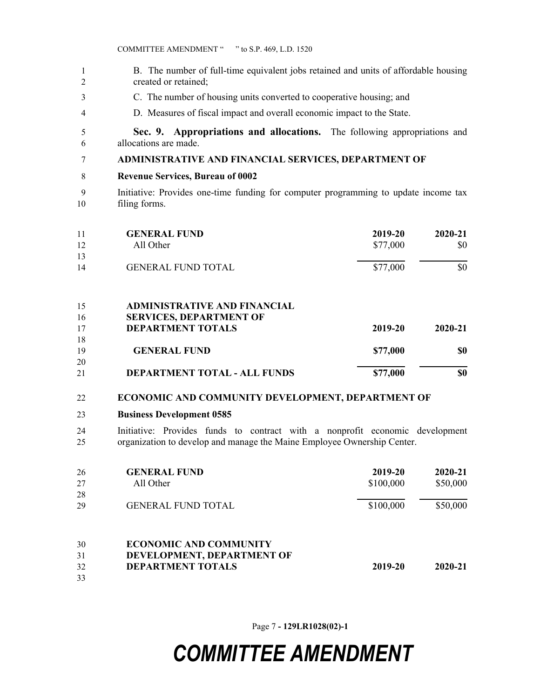- B. The number of full-time equivalent jobs retained and units of affordable housing created or retained;
- C. The number of housing units converted to cooperative housing; and
- D. Measures of fiscal impact and overall economic impact to the State.

 **Sec. 9. Appropriations and allocations.** The following appropriations and allocations are made.

#### **ADMINISTRATIVE AND FINANCIAL SERVICES, DEPARTMENT OF**

- **Revenue Services, Bureau of 0002**
- Initiative: Provides one-time funding for computer programming to update income tax filing forms.

| 11<br>12                 | <b>GENERAL FUND</b><br>All Other                                                                                                                                                   | 2019-20<br>\$77,000 | 2020-21<br>\$0 |
|--------------------------|------------------------------------------------------------------------------------------------------------------------------------------------------------------------------------|---------------------|----------------|
| 13<br>14                 | <b>GENERAL FUND TOTAL</b>                                                                                                                                                          | \$77,000            | \$0            |
| $\overline{\phantom{a}}$ | $\lambda$ by $\lambda$ in $\lambda$ and $\lambda$ in $\lambda$ in $\lambda$ in $\lambda$ in $\lambda$ is $\lambda$ if $\lambda$ is $\lambda$ if $\lambda$ is a set of $\lambda$ if |                     |                |

| 15 | <b>ADMINISTRATIVE AND FINANCIAL</b> |          |         |
|----|-------------------------------------|----------|---------|
| 16 | <b>SERVICES, DEPARTMENT OF</b>      |          |         |
| 17 | <b>DEPARTMENT TOTALS</b>            | 2019-20  | 2020-21 |
| 18 |                                     |          |         |
| 19 | <b>GENERAL FUND</b>                 | \$77,000 | \$0     |
| 20 |                                     |          |         |
| 21 | <b>DEPARTMENT TOTAL - ALL FUNDS</b> | \$77,000 | \$0     |

#### **ECONOMIC AND COMMUNITY DEVELOPMENT, DEPARTMENT OF**

#### **Business Development 0585**

 Initiative: Provides funds to contract with a nonprofit economic development organization to develop and manage the Maine Employee Ownership Center.

| 26 | <b>GENERAL FUND</b>           | 2019-20   | $2020 - 21$ |
|----|-------------------------------|-----------|-------------|
| 27 | All Other                     | \$100,000 | \$50,000    |
| 28 |                               |           |             |
| 29 | <b>GENERAL FUND TOTAL</b>     | \$100,000 | \$50,000    |
| 30 | <b>ECONOMIC AND COMMUNITY</b> |           |             |
| 31 | DEVELOPMENT, DEPARTMENT OF    |           |             |
| 32 | <b>DEPARTMENT TOTALS</b>      | 2019-20   | $2020 - 21$ |
| 33 |                               |           |             |

Page 7 **- 129LR1028(02)-1**